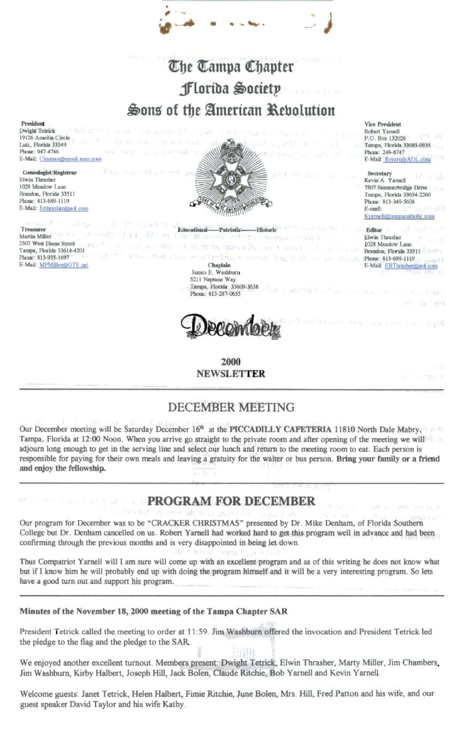# The Tampa Chapter Florida Society Sons of the American Rebolution

#### President

Dwight Tetrick 19126 Ameilia Circle Lutz, Florida 33549 Phone: 947-4746 E-Mail: Cimmax@email.msn.com

Genealogist/Registrar Elwin Thrasher 1028 Meadow Lane Brandon, Florida 33511 Phone: 813-689-1119 E-Mail: Erthrasher@aol.com



AT REPORT OF Educational-Treasurer -Historic -Patriotic-Martin Miller 西 上部当時 25,000 film Tunder 2507 West Diana Street tóana - J. ai, m na, paca a lis-1 comul Tampa, Florida 33614-4201 similar ne militare bennar company. Phone: 813-935-1697 E-Mail: MPMiller@GTE.net Chaplain

James E. Washburn 5211 Neptune Way Tampa, Florida 33609-3638 Phone: 813-287-0655



2000 **NEWSLETTER** 

#### **DECEMBER MEETING**

Our December meeting will be Saturday December 16th at the PICCADILLY CAFETERIA 11810 North Dale Mabry, Tampa, Florida at 12:00 Noon. When you arrive go straight to the private room and after opening of the meeting we will adjourn long enough to get in the serving line and select our lunch and return to the meeting room to eat. Each person is responsible for paying for their own meals and leaving a gratuity for the waiter or bus person. Bring your family or a friend and enjoy the fellowship.

### **PROGRAM FOR DECEMBER**

Our program for December was to be "CRACKER CHRISTMAS" presented by Dr. Mike Denham, of Florida Southern College but Dr. Denham cancelled on us. Robert Yarnell had worked hard to get this program well in advance and had been confirming through the previous months and is very disappointed in being let down.  $P_{\alpha}(r)$ 

6.13130

Thus Compatriot Yarnell will I am sure will come up with an excellent program and as of this writing he does not know what but if I know him he will probably end up with doing the program himself and it will be a very interesting program. So lets have a good turn out and support his program.

Minutes of the November 18, 2000 meeting of the Tampa Chapter SAR

President Tetrick called the meeting to order at 11:59. Jim Washburn offered the invocation and President Tetrick led the pledge to the flag and the pledge to the SAR.

We enjoyed another excellent turnout. Members present: Dwight Tetrick, Elwin Thrasher, Marty Miller, Jim Chambers, Jim Washburn, Kirby Halbert, Joseph Hill, Jack Bolen, Claude Ritchie, Bob Yarnell and Kevin Yarnell.

Welcome guests: Janet Tetrick, Helen Halbert, Fimie Ritchie, June Bolen, Mrs. Hill, Fred Patton and his wife, and our guest speaker David Taylor and his wife Kathy.

Vice President Robert Yarnell  $1 + 14$ P.O. Box 132026 Tampa, Florida 33685-0935 Phone: 249-8747 E-Mail RsyamorAOL.com

Secretary Kevin A Yarnell 7507 Summerbridge Drive Tampa, Florida 33634-2260

Phone: 813-349-5608 E-mail: Kyarnell@tampacatholic.com

Editor Elwin Thrasher 1028 Meadow Lane Brandon, Florida 33511 Phone: 813-689-1119 E-Mail: ERThrashergraol

 $-2 - 81$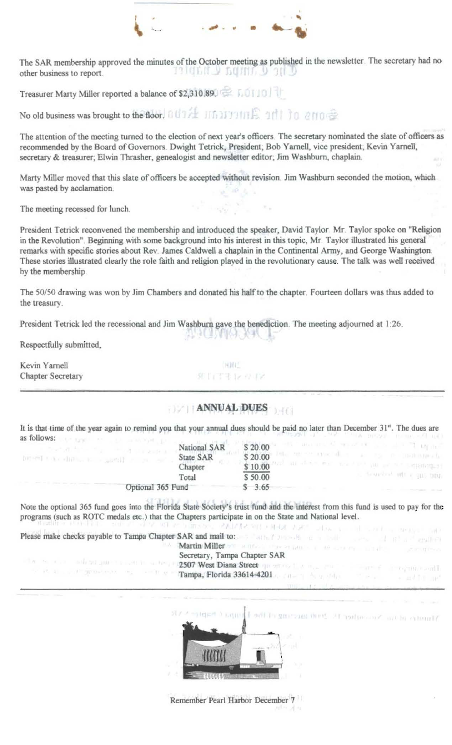

The SAR membership approved the minutes of the October meeting as published in the newsletter. The secretary had no THE CAMPA CHAPTED other business to report.

Treasurer Marty Miller reported a balance of \$2,310.89.

No old business was brought to the floor. 0th 14 Information Card 1 to errore

The attention of the meeting turned to the election of next year's officers. The secretary nominated the slate of officers as recommended by the Board of Governors. Dwight Tetrick, President; Bob Yarnell, vice president; Kevin Yarnell, secretary & treasurer; Elwin Thrasher, genealogist and newsletter editor; Jim Washburn, chaplain.

Marty Miller moved that this slate of officers be accepted without revision. Jim Washburn seconded the motion, which was pasted by acclamation.

The meeting recessed for lunch.

President Tetrick reconvened the membership and introduced the speaker, David Taylor. Mr. Taylor spoke on "Religion in the Revolution". Beginning with some background into his interest in this topic, Mr. Taylor illustrated his general remarks with specific stories about Rev. James Caldwell a chaplain in the Continental Army, and George Washington. These stories illustrated clearly the role faith and religion played in the revolutionary cause. The talk was well received by the membership.

The 50/50 drawing was won by Jim Chambers and donated his half to the chapter. Fourteen dollars was thus added to the treasury.

지난 이가 뛰어다니다. 그는

President Tetrick led the recessional and Jim Washburn gave the benediction. The meeting adjourned at 1:26.

Respectfully submitted,

| Kevin Yarnell     | <b>MANC</b> |
|-------------------|-------------|
| Chapter Secretary | 建自己生产 化单元   |

## **EXAMINAL DUES**

It is that time of the year again to remind you that your annual dues should be paid no later than December 31". The dues are as follows: the time that the community of the community of

|                                    | National SAR                                           | \$20.00 | and arts to space in the and and the Lipping    |  |
|------------------------------------|--------------------------------------------------------|---------|-------------------------------------------------|--|
| Territorial and a little and the n | <b>State SAR</b>                                       | \$20.00 | <b>ES Proportional</b>                          |  |
|                                    | hapter                                                 | \$10.00 | and allows the man that you are the property of |  |
|                                    | <b>T</b> otal                                          | \$50.00 | a resolved off cant until                       |  |
|                                    | the company of the company of the<br>Optional 365 Fund | \$3.65  |                                                 |  |

Note the optional 365 fund goes into the Florida State Society's trust fund and the interest from this fund is used to pay for the programs (such as ROTC medals etc.) that the Chapters participate in on the State and National level. considers. PADMIR WE FARE STATE STATE In the contract measure and

Secretary, Tampa Chapter SAR the second set port is seen to a term (192507 West Diana Street question for a  $\textbf{Example 1:} \quad \textit{if} \quad \textit{if} \quad \textit{if} \quad \textit{if} \quad \textit{if} \quad \textit{if} \quad \textit{if} \quad \textit{if} \quad \textit{if} \quad \textit{if} \quad \textit{if} \quad \textit{if} \quad \textit{if} \quad \textit{if} \quad \textit{if} \quad \textit{if} \quad \textit{if} \quad \textit{if} \quad \textit{if} \quad \textit{if} \quad \textit{if} \quad \textit{if} \quad \textit{if} \quad \textit{if} \quad \textit{if} \quad \textit{if} \quad \$ 



same of ithin the attention